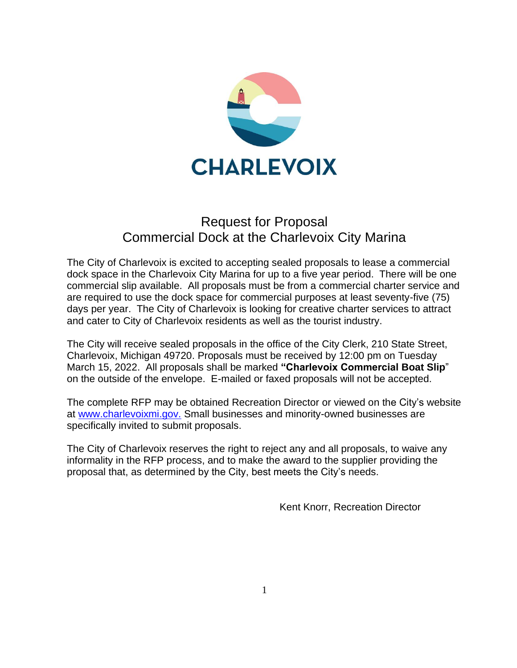

# Request for Proposal Commercial Dock at the Charlevoix City Marina

The City of Charlevoix is excited to accepting sealed proposals to lease a commercial dock space in the Charlevoix City Marina for up to a five year period. There will be one commercial slip available. All proposals must be from a commercial charter service and are required to use the dock space for commercial purposes at least seventy-five (75) days per year. The City of Charlevoix is looking for creative charter services to attract and cater to City of Charlevoix residents as well as the tourist industry.

The City will receive sealed proposals in the office of the City Clerk, 210 State Street, Charlevoix, Michigan 49720. Proposals must be received by 12:00 pm on Tuesday March 15, 2022. All proposals shall be marked **"Charlevoix Commercial Boat Slip**" on the outside of the envelope. E-mailed or faxed proposals will not be accepted.

The complete RFP may be obtained Recreation Director or viewed on the City's website at [www.charlevoixmi.gov.](http://www.charlevoixmi.gov./) Small businesses and minority-owned businesses are specifically invited to submit proposals.

The City of Charlevoix reserves the right to reject any and all proposals, to waive any informality in the RFP process, and to make the award to the supplier providing the proposal that, as determined by the City, best meets the City's needs.

Kent Knorr, Recreation Director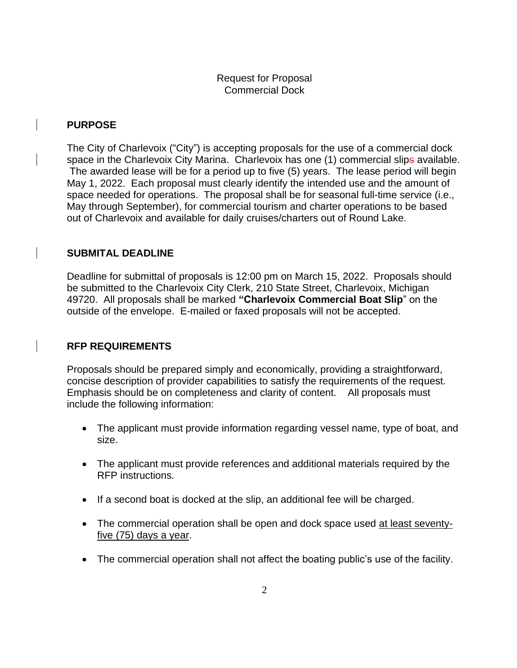Request for Proposal Commercial Dock

## **PURPOSE**

The City of Charlevoix ("City") is accepting proposals for the use of a commercial dock space in the Charlevoix City Marina. Charlevoix has one (1) commercial slips available. The awarded lease will be for a period up to five (5) years. The lease period will begin May 1, 2022. Each proposal must clearly identify the intended use and the amount of space needed for operations. The proposal shall be for seasonal full-time service (i.e., May through September), for commercial tourism and charter operations to be based out of Charlevoix and available for daily cruises/charters out of Round Lake.

# **SUBMITAL DEADLINE**

Deadline for submittal of proposals is 12:00 pm on March 15, 2022. Proposals should be submitted to the Charlevoix City Clerk, 210 State Street, Charlevoix, Michigan 49720. All proposals shall be marked **"Charlevoix Commercial Boat Slip**" on the outside of the envelope. E-mailed or faxed proposals will not be accepted.

# **RFP REQUIREMENTS**

Proposals should be prepared simply and economically, providing a straightforward, concise description of provider capabilities to satisfy the requirements of the request. Emphasis should be on completeness and clarity of content. All proposals must include the following information:

- The applicant must provide information regarding vessel name, type of boat, and size.
- The applicant must provide references and additional materials required by the RFP instructions.
- If a second boat is docked at the slip, an additional fee will be charged.
- The commercial operation shall be open and dock space used at least seventyfive (75) days a year.
- The commercial operation shall not affect the boating public's use of the facility.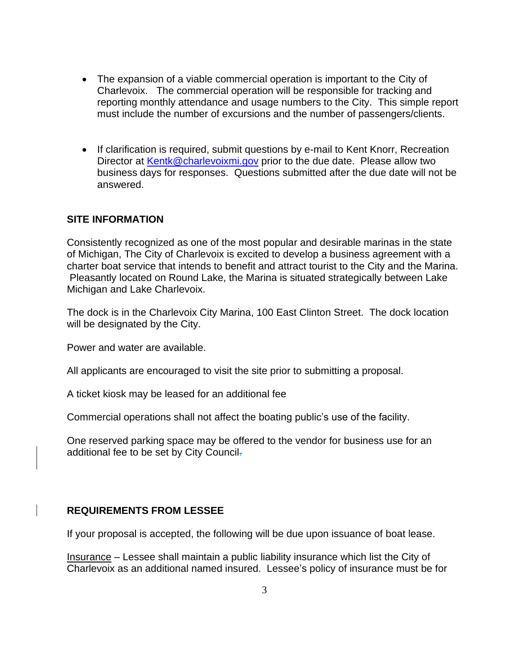- The expansion of a viable commercial operation is important to the City of Charlevoix. The commercial operation will be responsible for tracking and reporting monthly attendance and usage numbers to the City. This simple report must include the number of excursions and the number of passengers/clients.
- If clarification is required, submit questions by e-mail to Kent Knorr, Recreation Director at [Kentk@charlevoixmi.gov](mailto:Kentk@charlevoixmi.gov) prior to the due date. Please allow two business days for responses. Questions submitted after the due date will not be answered.

# **SITE INFORMATION**

Consistently recognized as one of the most popular and desirable marinas in the state of Michigan, The City of Charlevoix is excited to develop a business agreement with a charter boat service that intends to benefit and attract tourist to the City and the Marina. Pleasantly located on Round Lake, the Marina is situated strategically between Lake Michigan and Lake Charlevoix.

The dock is in the Charlevoix City Marina, 100 East Clinton Street. The dock location will be designated by the City.

Power and water are available.

All applicants are encouraged to visit the site prior to submitting a proposal.

A ticket kiosk may be leased for an additional fee

Commercial operations shall not affect the boating public's use of the facility.

One reserved parking space may be offered to the vendor for business use for an additional fee to be set by City Council.

## **REQUIREMENTS FROM LESSEE**

If your proposal is accepted, the following will be due upon issuance of boat lease.

Insurance – Lessee shall maintain a public liability insurance which list the City of Charlevoix as an additional named insured. Lessee's policy of insurance must be for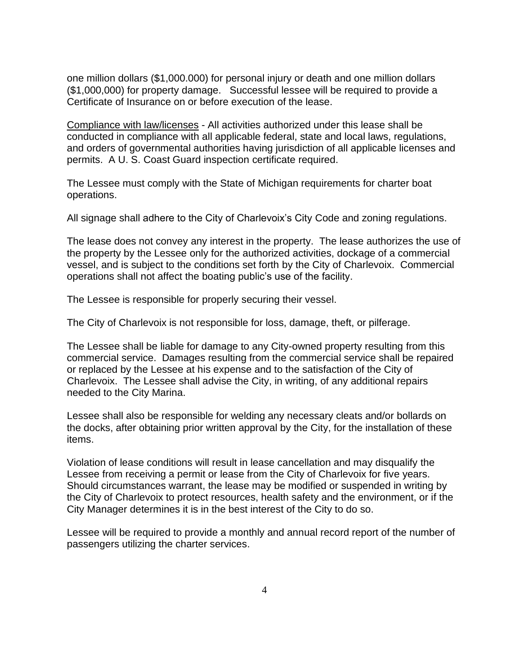one million dollars (\$1,000.000) for personal injury or death and one million dollars (\$1,000,000) for property damage. Successful lessee will be required to provide a Certificate of Insurance on or before execution of the lease.

Compliance with law/licenses - All activities authorized under this lease shall be conducted in compliance with all applicable federal, state and local laws, regulations, and orders of governmental authorities having jurisdiction of all applicable licenses and permits. A U. S. Coast Guard inspection certificate required.

The Lessee must comply with the State of Michigan requirements for charter boat operations.

All signage shall adhere to the City of Charlevoix's City Code and zoning regulations.

The lease does not convey any interest in the property. The lease authorizes the use of the property by the Lessee only for the authorized activities, dockage of a commercial vessel, and is subject to the conditions set forth by the City of Charlevoix. Commercial operations shall not affect the boating public's use of the facility.

The Lessee is responsible for properly securing their vessel.

The City of Charlevoix is not responsible for loss, damage, theft, or pilferage.

The Lessee shall be liable for damage to any City-owned property resulting from this commercial service. Damages resulting from the commercial service shall be repaired or replaced by the Lessee at his expense and to the satisfaction of the City of Charlevoix. The Lessee shall advise the City, in writing, of any additional repairs needed to the City Marina.

Lessee shall also be responsible for welding any necessary cleats and/or bollards on the docks, after obtaining prior written approval by the City, for the installation of these items.

Violation of lease conditions will result in lease cancellation and may disqualify the Lessee from receiving a permit or lease from the City of Charlevoix for five years. Should circumstances warrant, the lease may be modified or suspended in writing by the City of Charlevoix to protect resources, health safety and the environment, or if the City Manager determines it is in the best interest of the City to do so.

Lessee will be required to provide a monthly and annual record report of the number of passengers utilizing the charter services.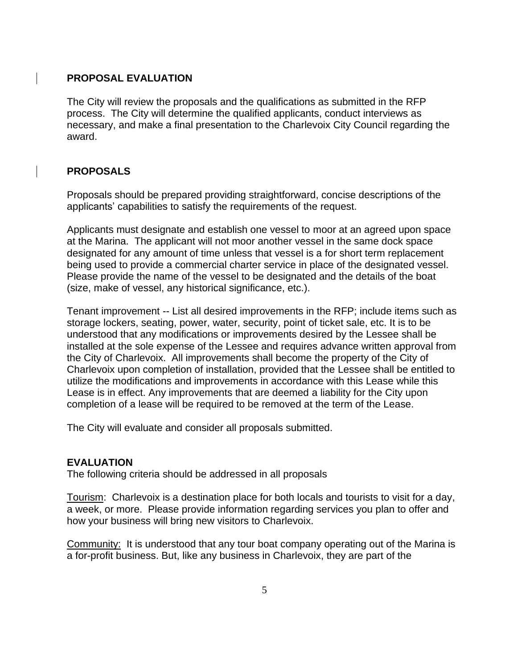#### **PROPOSAL EVALUATION**

The City will review the proposals and the qualifications as submitted in the RFP process. The City will determine the qualified applicants, conduct interviews as necessary, and make a final presentation to the Charlevoix City Council regarding the award.

## **PROPOSALS**

Proposals should be prepared providing straightforward, concise descriptions of the applicants' capabilities to satisfy the requirements of the request.

Applicants must designate and establish one vessel to moor at an agreed upon space at the Marina. The applicant will not moor another vessel in the same dock space designated for any amount of time unless that vessel is a for short term replacement being used to provide a commercial charter service in place of the designated vessel. Please provide the name of the vessel to be designated and the details of the boat (size, make of vessel, any historical significance, etc.).

Tenant improvement -- List all desired improvements in the RFP; include items such as storage lockers, seating, power, water, security, point of ticket sale, etc. It is to be understood that any modifications or improvements desired by the Lessee shall be installed at the sole expense of the Lessee and requires advance written approval from the City of Charlevoix. All improvements shall become the property of the City of Charlevoix upon completion of installation, provided that the Lessee shall be entitled to utilize the modifications and improvements in accordance with this Lease while this Lease is in effect. Any improvements that are deemed a liability for the City upon completion of a lease will be required to be removed at the term of the Lease.

The City will evaluate and consider all proposals submitted.

#### **EVALUATION**

The following criteria should be addressed in all proposals

Tourism: Charlevoix is a destination place for both locals and tourists to visit for a day, a week, or more. Please provide information regarding services you plan to offer and how your business will bring new visitors to Charlevoix.

Community: It is understood that any tour boat company operating out of the Marina is a for-profit business. But, like any business in Charlevoix, they are part of the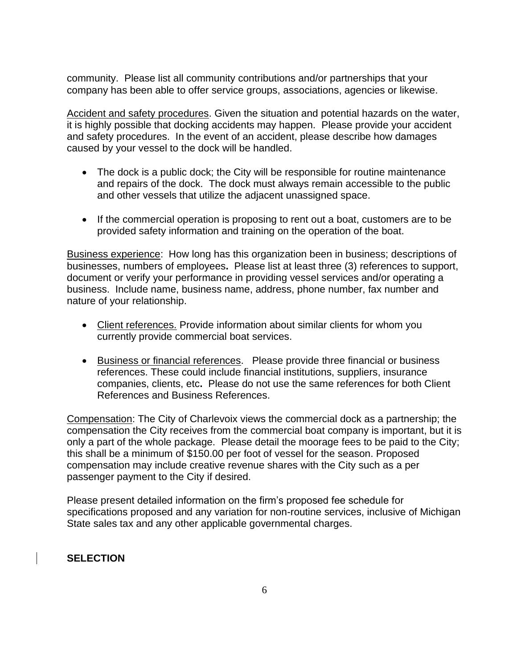community. Please list all community contributions and/or partnerships that your company has been able to offer service groups, associations, agencies or likewise.

Accident and safety procedures. Given the situation and potential hazards on the water, it is highly possible that docking accidents may happen. Please provide your accident and safety procedures. In the event of an accident, please describe how damages caused by your vessel to the dock will be handled.

- The dock is a public dock; the City will be responsible for routine maintenance and repairs of the dock. The dock must always remain accessible to the public and other vessels that utilize the adjacent unassigned space.
- If the commercial operation is proposing to rent out a boat, customers are to be provided safety information and training on the operation of the boat.

Business experience: How long has this organization been in business; descriptions of businesses, numbers of employees**.** Please list at least three (3) references to support, document or verify your performance in providing vessel services and/or operating a business. Include name, business name, address, phone number, fax number and nature of your relationship.

- Client references. Provide information about similar clients for whom you currently provide commercial boat services.
- Business or financial references. Please provide three financial or business references. These could include financial institutions, suppliers, insurance companies, clients, etc**.** Please do not use the same references for both Client References and Business References.

Compensation: The City of Charlevoix views the commercial dock as a partnership; the compensation the City receives from the commercial boat company is important, but it is only a part of the whole package. Please detail the moorage fees to be paid to the City; this shall be a minimum of \$150.00 per foot of vessel for the season. Proposed compensation may include creative revenue shares with the City such as a per passenger payment to the City if desired.

Please present detailed information on the firm's proposed fee schedule for specifications proposed and any variation for non-routine services, inclusive of Michigan State sales tax and any other applicable governmental charges.

# **SELECTION**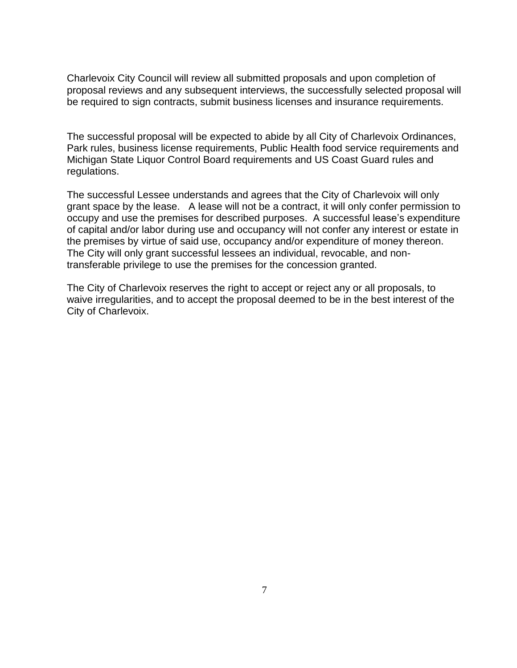Charlevoix City Council will review all submitted proposals and upon completion of proposal reviews and any subsequent interviews, the successfully selected proposal will be required to sign contracts, submit business licenses and insurance requirements.

The successful proposal will be expected to abide by all City of Charlevoix Ordinances, Park rules, business license requirements, Public Health food service requirements and Michigan State Liquor Control Board requirements and US Coast Guard rules and regulations.

The successful Lessee understands and agrees that the City of Charlevoix will only grant space by the lease. A lease will not be a contract, it will only confer permission to occupy and use the premises for described purposes. A successful lease's expenditure of capital and/or labor during use and occupancy will not confer any interest or estate in the premises by virtue of said use, occupancy and/or expenditure of money thereon. The City will only grant successful lessees an individual, revocable, and nontransferable privilege to use the premises for the concession granted.

The City of Charlevoix reserves the right to accept or reject any or all proposals, to waive irregularities, and to accept the proposal deemed to be in the best interest of the City of Charlevoix.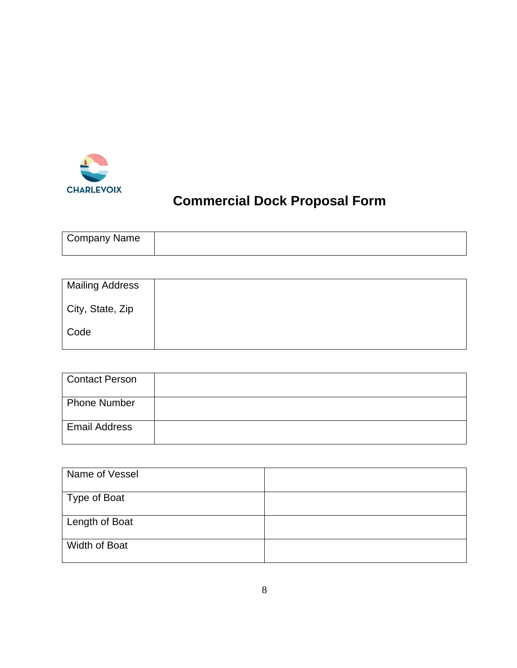

# **Commercial Dock Proposal Form**

| Company Name |  |
|--------------|--|
|              |  |

| <b>Mailing Address</b> |  |
|------------------------|--|
| City, State, Zip       |  |
| Code                   |  |

| <b>Contact Person</b> |  |
|-----------------------|--|
| <b>Phone Number</b>   |  |
| <b>Email Address</b>  |  |

| Name of Vessel |  |
|----------------|--|
| Type of Boat   |  |
| Length of Boat |  |
| Width of Boat  |  |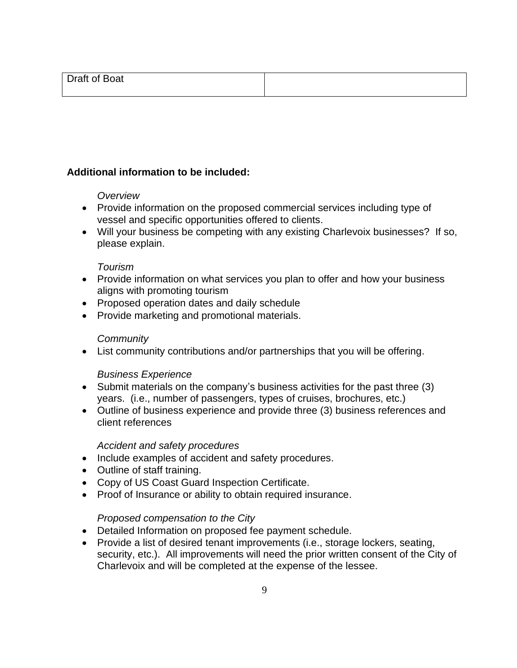# **Additional information to be included:**

## *Overview*

- Provide information on the proposed commercial services including type of vessel and specific opportunities offered to clients.
- Will your business be competing with any existing Charlevoix businesses? If so, please explain.

## *Tourism*

- Provide information on what services you plan to offer and how your business aligns with promoting tourism
- Proposed operation dates and daily schedule
- Provide marketing and promotional materials.

## *Community*

• List community contributions and/or partnerships that you will be offering.

# *Business Experience*

- Submit materials on the company's business activities for the past three (3) years. (i.e., number of passengers, types of cruises, brochures, etc.)
- Outline of business experience and provide three (3) business references and client references

## *Accident and safety procedures*

- Include examples of accident and safety procedures.
- Outline of staff training.
- Copy of US Coast Guard Inspection Certificate.
- Proof of Insurance or ability to obtain required insurance.

# *Proposed compensation to the City*

- Detailed Information on proposed fee payment schedule.
- Provide a list of desired tenant improvements (i.e., storage lockers, seating, security, etc.). All improvements will need the prior written consent of the City of Charlevoix and will be completed at the expense of the lessee.